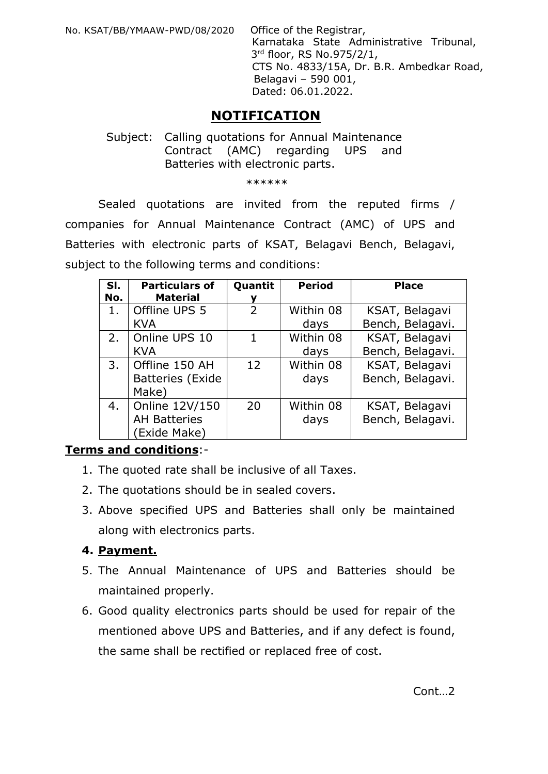No. KSAT/BB/YMAAW-PWD/08/2020 Office of the Registrar,

 Karnataka State Administrative Tribunal, 3rd floor, RS No.975/2/1, CTS No. 4833/15A, Dr. B.R. Ambedkar Road, Belagavi – 590 001, Dated: 06.01.2022.

# NOTIFICATION

#### Subject: Calling quotations for Annual Maintenance Contract (AMC) regarding UPS and Batteries with electronic parts.

\*\*\*\*\*\*

Sealed quotations are invited from the reputed firms / companies for Annual Maintenance Contract (AMC) of UPS and Batteries with electronic parts of KSAT, Belagavi Bench, Belagavi, subject to the following terms and conditions:

| SI.<br>No. | <b>Particulars of</b><br><b>Material</b>              | Quantit<br>v | <b>Period</b>     | <b>Place</b>                       |
|------------|-------------------------------------------------------|--------------|-------------------|------------------------------------|
| 1.         | Offline UPS 5<br><b>KVA</b>                           | 2            | Within 08<br>days | KSAT, Belagavi<br>Bench, Belagavi. |
| 2.         | Online UPS 10<br><b>KVA</b>                           | 1            | Within 08<br>days | KSAT, Belagavi<br>Bench, Belagavi. |
| 3.         | Offline 150 AH<br><b>Batteries (Exide</b><br>Make)    | 12           | Within 08<br>days | KSAT, Belagavi<br>Bench, Belagavi. |
| 4.         | Online 12V/150<br><b>AH Batteries</b><br>(Exide Make) | 20           | Within 08<br>days | KSAT, Belagavi<br>Bench, Belagavi. |

## Terms and conditions:-

- 1. The quoted rate shall be inclusive of all Taxes.
- 2. The quotations should be in sealed covers.
- 3. Above specified UPS and Batteries shall only be maintained along with electronics parts.

## 4. Payment.

- 5. The Annual Maintenance of UPS and Batteries should be maintained properly.
- 6. Good quality electronics parts should be used for repair of the mentioned above UPS and Batteries, and if any defect is found, the same shall be rectified or replaced free of cost.